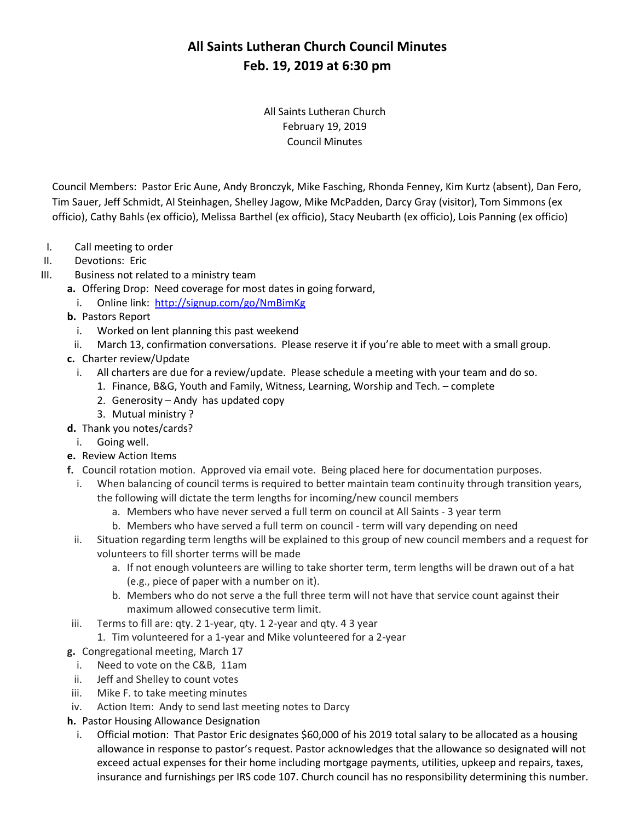All Saints Lutheran Church February 19, 2019 Council Minutes

Council Members: Pastor Eric Aune, Andy Bronczyk, Mike Fasching, Rhonda Fenney, Kim Kurtz (absent), Dan Fero, Tim Sauer, Jeff Schmidt, Al Steinhagen, Shelley Jagow, Mike McPadden, Darcy Gray (visitor), Tom Simmons (ex officio), Cathy Bahls (ex officio), Melissa Barthel (ex officio), Stacy Neubarth (ex officio), Lois Panning (ex officio)

- I. Call meeting to order
- II. Devotions: Eric
- III. Business not related to a ministry team
	- **a.** Offering Drop: Need coverage for most dates in going forward,
		- i. Online link: <http://signup.com/go/NmBimKg>
	- **b.** Pastors Report
		- i. Worked on lent planning this past weekend
	- ii. March 13, confirmation conversations. Please reserve it if you're able to meet with a small group.
	- **c.** Charter review/Update
		- i. All charters are due for a review/update. Please schedule a meeting with your team and do so.
			- 1. Finance, B&G, Youth and Family, Witness, Learning, Worship and Tech. complete
			- 2. Generosity Andy has updated copy
			- 3. Mutual ministry ?
	- **d.** Thank you notes/cards?
		- i. Going well.
	- **e.** Review Action Items
	- **f.** Council rotation motion. Approved via email vote. Being placed here for documentation purposes.
		- i. When balancing of council terms is required to better maintain team continuity through transition years, the following will dictate the term lengths for incoming/new council members
			- a. Members who have never served a full term on council at All Saints 3 year term
			- b. Members who have served a full term on council term will vary depending on need
		- ii. Situation regarding term lengths will be explained to this group of new council members and a request for volunteers to fill shorter terms will be made
			- a. If not enough volunteers are willing to take shorter term, term lengths will be drawn out of a hat (e.g., piece of paper with a number on it).
			- b. Members who do not serve a the full three term will not have that service count against their maximum allowed consecutive term limit.
	- iii. Terms to fill are: qty. 2 1-year, qty. 1 2-year and qty. 4 3 year
		- 1. Tim volunteered for a 1-year and Mike volunteered for a 2-year
	- **g.** Congregational meeting, March 17
	- i. Need to vote on the C&B, 11am
	- ii. Jeff and Shelley to count votes
	- iii. Mike F. to take meeting minutes
	- iv. Action Item: Andy to send last meeting notes to Darcy
	- **h.** Pastor Housing Allowance Designation
		- i. Official motion: That Pastor Eric designates \$60,000 of his 2019 total salary to be allocated as a housing allowance in response to pastor's request. Pastor acknowledges that the allowance so designated will not exceed actual expenses for their home including mortgage payments, utilities, upkeep and repairs, taxes, insurance and furnishings per IRS code 107. Church council has no responsibility determining this number.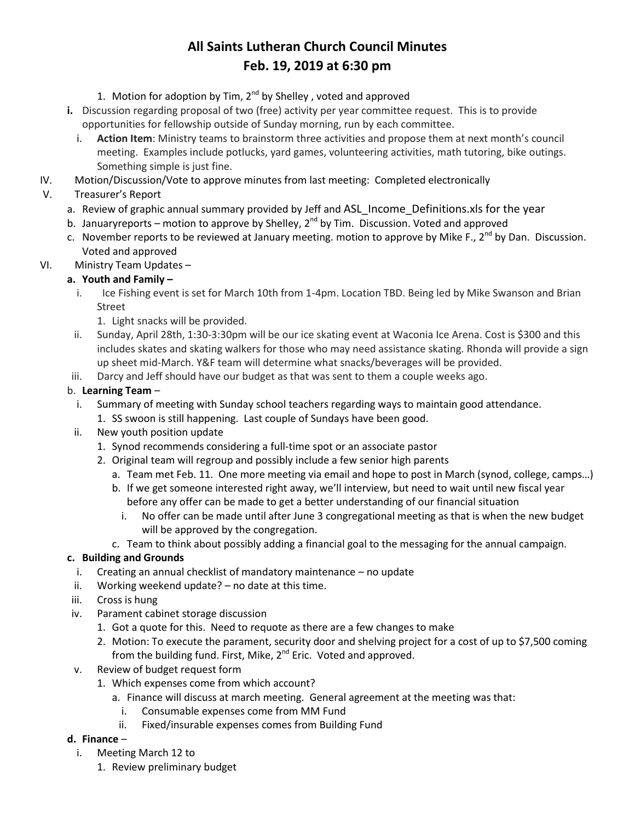- 1. Motion for adoption by Tim,  $2^{nd}$  by Shelley, voted and approved
- **i.** Discussion regarding proposal of two (free) activity per year committee request. This is to provide opportunities for fellowship outside of Sunday morning, run by each committee.
	- i. **Action Item**: Ministry teams to brainstorm three activities and propose them at next month's council meeting. Examples include potlucks, yard games, volunteering activities, math tutoring, bike outings. Something simple is just fine.
- IV. Motion/Discussion/Vote to approve minutes from last meeting: Completed electronically
- V. Treasurer's Report
	- a. Review of graphic annual summary provided by Jeff and ASL Income Definitions.xls for the year
	- b. Januaryreports motion to approve by Shelley, 2<sup>nd</sup> by Tim. Discussion. Voted and approved
	- c. November reports to be reviewed at January meeting. motion to approve by Mike F.,  $2^{nd}$  by Dan. Discussion. Voted and approved
- VI. Ministry Team Updates –

#### **a. Youth and Family –**

- i. Ice Fishing event is set for March 10th from 1-4pm. Location TBD. Being led by Mike Swanson and Brian Street
	- 1. Light snacks will be provided.
- ii. Sunday, April 28th, 1:30-3:30pm will be our ice skating event at Waconia Ice Arena. Cost is \$300 and this includes skates and skating walkers for those who may need assistance skating. Rhonda will provide a sign up sheet mid-March. Y&F team will determine what snacks/beverages will be provided.
- iii. Darcy and Jeff should have our budget as that was sent to them a couple weeks ago.

#### b. **Learning Team** –

- i. Summary of meeting with Sunday school teachers regarding ways to maintain good attendance.
	- 1. SS swoon is still happening. Last couple of Sundays have been good.
- ii. New youth position update
	- 1. Synod recommends considering a full-time spot or an associate pastor
	- 2. Original team will regroup and possibly include a few senior high parents
		- a. Team met Feb. 11. One more meeting via email and hope to post in March (synod, college, camps…)
		- b. If we get someone interested right away, we'll interview, but need to wait until new fiscal year before any offer can be made to get a better understanding of our financial situation
			- i. No offer can be made until after June 3 congregational meeting as that is when the new budget will be approved by the congregation.
		- c. Team to think about possibly adding a financial goal to the messaging for the annual campaign.

#### **c. Building and Grounds**

- i. Creating an annual checklist of mandatory maintenance no update
- ii. Working weekend update? no date at this time.
- iii. Cross is hung
- iv. Parament cabinet storage discussion
	- 1. Got a quote for this. Need to requote as there are a few changes to make
	- 2. Motion: To execute the parament, security door and shelving project for a cost of up to \$7,500 coming from the building fund. First, Mike, 2<sup>nd</sup> Eric. Voted and approved.
- v. Review of budget request form
	- 1. Which expenses come from which account?
		- a. Finance will discuss at march meeting. General agreement at the meeting was that:
			- i. Consumable expenses come from MM Fund
		- ii. Fixed/insurable expenses comes from Building Fund

#### **d. Finance** –

- i. Meeting March 12 to
	- 1. Review preliminary budget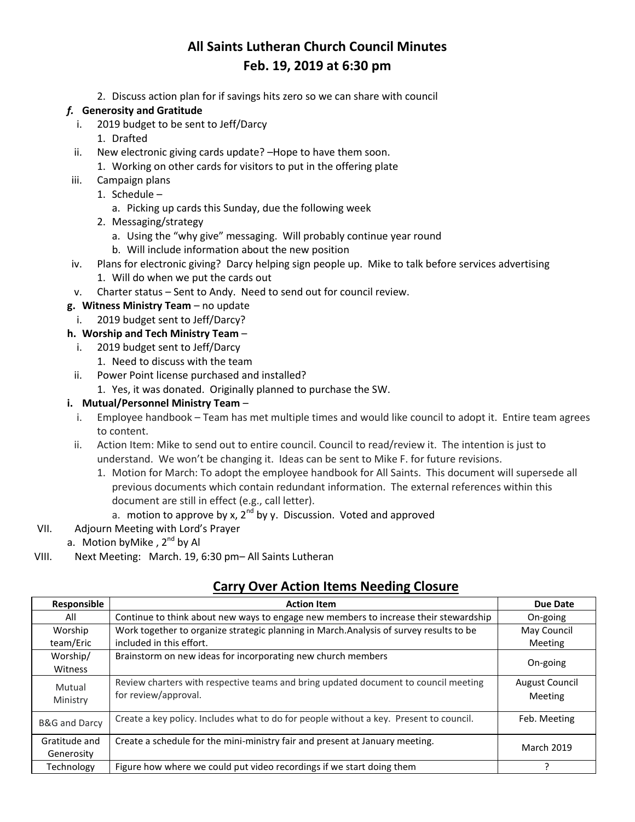2. Discuss action plan for if savings hits zero so we can share with council

#### *f.* **Generosity and Gratitude**

- i. 2019 budget to be sent to Jeff/Darcy
	- 1. Drafted
- ii. New electronic giving cards update? –Hope to have them soon.
- 1. Working on other cards for visitors to put in the offering plate
- iii. Campaign plans
	- 1. Schedule
		- a. Picking up cards this Sunday, due the following week
	- 2. Messaging/strategy
		- a. Using the "why give" messaging. Will probably continue year round
		- b. Will include information about the new position
- iv. Plans for electronic giving? Darcy helping sign people up. Mike to talk before services advertising
	- 1. Will do when we put the cards out
- v. Charter status Sent to Andy. Need to send out for council review.

#### **g. Witness Ministry Team** – no update

i. 2019 budget sent to Jeff/Darcy?

#### **h. Worship and Tech Ministry Team** –

- i. 2019 budget sent to Jeff/Darcy
	- 1. Need to discuss with the team
- ii. Power Point license purchased and installed?
	- 1. Yes, it was donated. Originally planned to purchase the SW.

#### **i. Mutual/Personnel Ministry Team** –

- i. Employee handbook Team has met multiple times and would like council to adopt it. Entire team agrees to content.
- ii. Action Item: Mike to send out to entire council. Council to read/review it. The intention is just to understand. We won't be changing it. Ideas can be sent to Mike F. for future revisions.
	- 1. Motion for March: To adopt the employee handbook for All Saints. This document will supersede all previous documents which contain redundant information. The external references within this document are still in effect (e.g., call letter).
		- a. motion to approve by x,  $2^{nd}$  by y. Discussion. Voted and approved
- VII. Adjourn Meeting with Lord's Prayer
	- a. Motion by Mike,  $2^{nd}$  by Al
- VIII. Next Meeting: March. 19, 6:30 pm– All Saints Lutheran

### **Carry Over Action Items Needing Closure**

| Responsible              | <b>Action Item</b>                                                                     | Due Date              |
|--------------------------|----------------------------------------------------------------------------------------|-----------------------|
| All                      | Continue to think about new ways to engage new members to increase their stewardship   | On-going              |
| Worship                  | Work together to organize strategic planning in March.Analysis of survey results to be | May Council           |
| team/Eric                | included in this effort.                                                               | Meeting               |
| Worship/                 | Brainstorm on new ideas for incorporating new church members                           | On-going              |
| Witness                  |                                                                                        |                       |
| Mutual                   | Review charters with respective teams and bring updated document to council meeting    | <b>August Council</b> |
| Ministry                 | for review/approval.                                                                   | Meeting               |
| <b>B&amp;G</b> and Darcy | Create a key policy. Includes what to do for people without a key. Present to council. | Feb. Meeting          |
| Gratitude and            | Create a schedule for the mini-ministry fair and present at January meeting.           | <b>March 2019</b>     |
| Generosity               |                                                                                        |                       |
| Technology               | Figure how where we could put video recordings if we start doing them                  |                       |